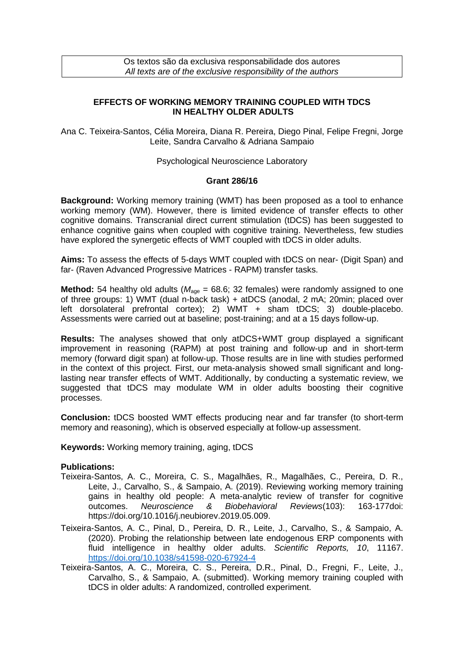## **EFFECTS OF WORKING MEMORY TRAINING COUPLED WITH TDCS IN HEALTHY OLDER ADULTS**

Ana C. Teixeira-Santos, Célia Moreira, Diana R. Pereira, Diego Pinal, Felipe Fregni, Jorge Leite, Sandra Carvalho & Adriana Sampaio

Psychological Neuroscience Laboratory

## **Grant 286/16**

**Background:** Working memory training (WMT) has been proposed as a tool to enhance working memory (WM). However, there is limited evidence of transfer effects to other cognitive domains. Transcranial direct current stimulation (tDCS) has been suggested to enhance cognitive gains when coupled with cognitive training. Nevertheless, few studies have explored the synergetic effects of WMT coupled with tDCS in older adults.

**Aims:** To assess the effects of 5-days WMT coupled with tDCS on near- (Digit Span) and far- (Raven Advanced Progressive Matrices - RAPM) transfer tasks.

**Method:** 54 healthy old adults ( $M_{age} = 68.6$ ; 32 females) were randomly assigned to one of three groups: 1) WMT (dual n-back task) + atDCS (anodal, 2 mA; 20min; placed over left dorsolateral prefrontal cortex); 2) WMT + sham tDCS; 3) double-placebo. Assessments were carried out at baseline; post-training; and at a 15 days follow-up.

**Results:** The analyses showed that only atDCS+WMT group displayed a significant improvement in reasoning (RAPM) at post training and follow-up and in short-term memory (forward digit span) at follow-up. Those results are in line with studies performed in the context of this project. First, our meta-analysis showed small significant and longlasting near transfer effects of WMT. Additionally, by conducting a systematic review, we suggested that tDCS may modulate WM in older adults boosting their cognitive processes.

**Conclusion:** tDCS boosted WMT effects producing near and far transfer (to short-term memory and reasoning), which is observed especially at follow-up assessment.

**Keywords:** Working memory training, aging, tDCS

## **Publications:**

- Teixeira-Santos, A. C., Moreira, C. S., Magalhães, R., Magalhães, C., Pereira, D. R., Leite, J., Carvalho, S., & Sampaio, A. (2019). Reviewing working memory training gains in healthy old people: A meta-analytic review of transfer for cognitive outcomes. *Neuroscience & Biobehavioral Reviews*(103): 163-177doi: [https://doi.org/10.1016/j.neubiorev.2019.05.009.](https://doi.org/10.1016/j.neubiorev.2019.05.009)
- Teixeira-Santos, A. C., Pinal, D., Pereira, D. R., Leite, J., Carvalho, S., & Sampaio, A. (2020). Probing the relationship between late endogenous ERP components with fluid intelligence in healthy older adults. *Scientific Reports, 10*, 11167. <https://doi.org/10.1038/s41598-020-67924-4>
- Teixeira-Santos, A. C., Moreira, C. S., Pereira, D.R., Pinal, D., Fregni, F., Leite, J., Carvalho, S., & Sampaio, A. (submitted). Working memory training coupled with tDCS in older adults: A randomized, controlled experiment.